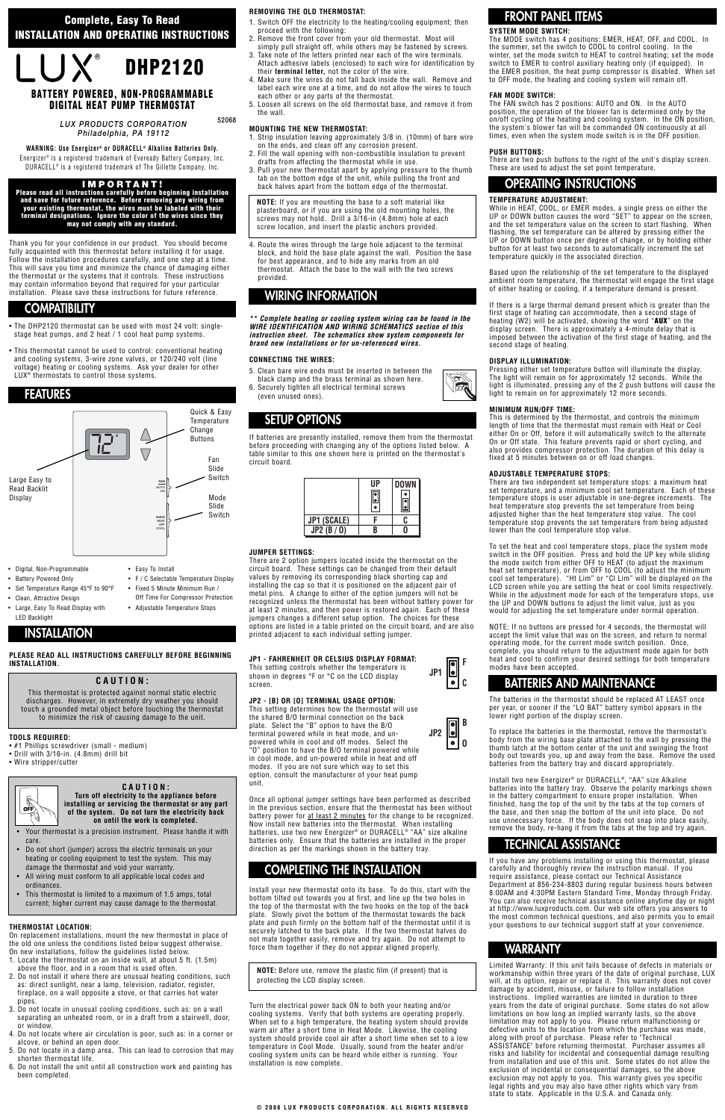- The DHP2120 thermostat can be used with most 24 volt: singlestage heat pumps, and 2 heat / 1 cool heat pump systems.
- This thermostat cannot be used to control: conventional heating and cooling systems, 3-wire zone valves, or 120/240 volt (line voltage) heating or cooling systems. Ask your dealer for other LUX<sup>®</sup> thermostats to control those systems.

Thank you for your confidence in our product. You should become fully acquainted with this thermostat before installing it for usage. Follow the installation procedures carefully, and one step at a time. This will save you time and minimize the chance of damaging either the thermostat or the systems that it controls. These instructions may contain information beyond that required for your particular installation. Please save these instructions for future reference.

- #1 Phillips screwdriver (small medium)
- Drill with 3/16-in. (4.8mm) drill bit
- Wire stripper/cutter



## **PLEASE READ ALL INSTRUCTIONS CAREFULLY BEFORE BEGINNING INSTALLATION.**

## **TOOLS REQUIRED:**

#### **THERMOSTAT LOCATION:**

On replacement installations, mount the new thermostat in place of the old one unless the conditions listed below suggest otherwise. On new installations, follow the guidelines listed below.

- 1. Locate the thermostat on an inside wall, at about 5 ft. (1.5m) above the floor, and in a room that is used often.
- 2. Do not install it where there are unusual heating conditions, such as: direct sunlight, near a lamp, television, radiator, register, fireplace, on a wall opposite a stove, or that carries hot water pipes.
- 3. Do not locate in unusual cooling conditions, such as: on a wall separating an unheated room, or in a draft from a stairwell, door, or window.
- 4. Do not locate where air circulation is poor, such as: in a corner or alcove, or behind an open door.
- 5. Do not locate in a damp area. This can lead to corrosion that may shorten thermostat life.
- 6. Do not install the unit until all construction work and painting has been completed.

**Complete heating or cooling system wiring can be found in the WIRE IDENTIFICATION AND WIRING SCHEMATICS section of this instruction sheet. The schematics show system components for brand new installations or for un-referenced wires.**

## **REMOVING THE OLD THERMOSTAT:**

- 1. Switch OFF the electricity to the heating/cooling equipment; then proceed with the following:
- 2. Remove the front cover from your old thermostat. Most will simply pull straight off, while others may be fastened by screws.
- Take note of the letters printed near each of the wire terminals. Attach adhesive labels (enclosed) to each wire for identification by their **terminal letter,** not the color of the wire.
- 4. Make sure the wires do not fall back inside the wall. Remove and label each wire one at a time, and do not allow the wires to touch each other or any parts of the thermostat.
- 5. Loosen all screws on the old thermostat base, and remove it from the wall.

## **MOUNTING THE NEW THERMOSTAT:**

- 1. Strip insulation leaving approximately 3/8 in. (10mm) of bare wire on the ends, and clean off any corrosion present.
- 2. Fill the wall opening with non-combustible insulation to prevent drafts from affecting the thermostat while in use.
- 3. Pull your new thermostat apart by applying pressure to the thumb tab on the bottom edge of the unit, while pulling the front and back halves apart from the bottom edge of the thermostat.

4. Route the wires through the large hole adjacent to the terminal block, and hold the base plate against the wall. Position the base for best appearance, and to hide any marks from an old thermostat. Attach the base to the wall with the two screws provided.

## **CONNECTING THE WIRES:**

- 5. Clean bare wire ends must be inserted in between the
- black clamp and the brass terminal as shown here. 6. Securely tighten all electrical terminal screws (even unused ones).

If batteries are presently installed, remove them from the thermostat before proceeding with changing any of the options listed below. A table similar to this one shown here is printed on the thermostat's circuit board.

## **JUMPER SETTINGS:**

There are 2 option jumpers located inside the thermostat on the circuit board. These settings can be changed from their default values by removing its corresponding black shorting cap and installing the cap so that it is positioned on the adjacent pair of metal pins. A change to either of the option jumpers will not be recognized unless the thermostat has been without battery power for at least 2 minutes, and then power is restored again. Each of these jumpers changes a different setup option. The choices for these options are listed in a table printed on the circuit board, and are also printed adjacent to each individual setting jumper.

## **JP1 - FAHRENHEIT OR CELSIUS DISPLAY FORMAT:**

This setting controls whether the temperature is shown in degrees °F or °C on the LCD display screen.

## **JP2 - [B] OR [O] TERMINAL USAGE OPTION:**

Once all optional jumper settings have been performed as described in the previous section, ensure that the thermostat has been without battery power for at least 2 minutes for the change to be recognized. Now install new batteries into the thermostat. When installing batteries, use two new Energizer® or DURACELL® "AA" size alkaline batteries only. Ensure that the batteries are installed in the proper direction as per the markings shown in the battery tray.

Install your new thermostat onto its base. To do this, start with the bottom tilted out towards you at first, and line up the two holes in the top of the thermostat with the two hooks on the top of the back plate. Slowly pivot the bottom of the thermostat towards the back plate and push firmly on the bottom half of the thermostat until it is securely latched to the back plate. If the two thermostat halves do not mate together easily, remove and try again. Do not attempt to force them together if they do not appear aligned properly.

Turn the electrical power back ON to both your heating and/or cooling systems. Verify that both systems are operating properly. When set to a high temperature, the heating system should provide warm air after a short time in Heat Mode. Likewise, the cooling system should provide cool air after a short time when set to a low temperature in Cool Mode. Usually, sound from the heater and/or cooling system units can be heard while either is running. Your installation is now complete.

## **SYSTEM MODE SWITCH:**

The MODE switch has 4 positions: EMER, HEAT, OFF, and COOL. In the summer, set the switch to COOL to control cooling. In the winter, set the mode switch to HEAT to control heating; set the mode switch to EMER to control auxiliary heating only (if equipped). In the EMER position, the heat pump compressor is disabled. When set to OFF mode, the heating and cooling system will remain off.

• F / C Selectable Temperature Display • Fixed 5 Minute Minimum Run / Off Time For Compressor Protection • Adjustable Temperature Stops

## **FAN MODE SWITCH:**

The FAN switch has 2 positions: AUTO and ON. In the AUTO position, the operation of the blower fan is determined only by the on/off cycling of the heating and cooling system. In the ON position, the system's blower fan will be commanded ON continuously at all times, even when the system mode switch is in the OFF position.

#### **PUSH BUTTONS:**

There are two push buttons to the right of the unit's display screen. These are used to adjust the set point temperature.

## **TEMPERATURE ADJUSTMENT:**

While in HEAT, COOL, or EMER modes, a single press on either the UP or DOWN button causes the word "SET" to appear on the screen, and the set temperature value on the screen to start flashing. When flashing, the set temperature can be altered by pressing either the UP or DOWN button once per degree of change, or by holding either button for at least two seconds to automatically increment the set temperature quickly in the associated direction.

Based upon the relationship of the set temperature to the displayed ambient room temperature, the thermostat will engage the first stage of either heating or cooling, if a temperature demand is present.

If there is a large thermal demand present which is greater than the first stage of heating can accommodate, then a second stage of heating (W2) will be activated, showing the word "**AUX**" on the display screen. There is approximately a 4-minute delay that is imposed between the activation of the first stage of heating, and the second stage of heating.

#### **DISPLAY ILLUMINATION:**

Pressing either set temperature button will illuminate the display. The light will remain on for approximately 12 seconds. While the light is illuminated, pressing any of the 2 push buttons will cause the light to remain on for approximately 12 more seconds.

### **MINIMUM RUN/OFF TIME:**

This is determined by the thermostat, and controls the minimum length of time that the thermostat must remain with Heat or Cool either On or Off, before it will automatically switch to the alternate On or Off state. This feature prevents rapid or short cycling, and also provides compressor protection. The duration of this delay is fixed at 5 minutes between on or off load changes.

### **ADJUSTABLE TEMPERATURE STOPS:**

There are two independent set temperature stops: a maximum heat set temperature, and a minimum cool set temperature. Each of these temperature stops is user adjustable in one-degree increments. The heat temperature stop prevents the set temperature from being adjusted higher than the heat temperature stop value. The cool temperature stop prevents the set temperature from being adjusted lower than the cool temperature stop value.

To set the heat and cool temperature stops, place the system mode switch in the OFF position. Press and hold the UP key while sliding the mode switch from either OFF to HEAT (to adjust the maximum heat set temperature), or from OFF to COOL (to adjust the minimum cool set temperature). "Ht Lim" or "Cl Lim" will be displayed on the LCD screen while you are setting the heat or cool limits respectively. While in the adjustment mode for each of the temperature stops, use the UP and DOWN buttons to adjust the limit value, just as you would for adjusting the set temperature under normal operation.

This setting determines how the thermostat will use the shared B/O terminal connection on the back plate. Select the "B" option to have the B/O terminal powered while in heat mode, and unpowered while in cool and off modes. Select the "O" position to have the B/O terminal powered while in cool mode, and un-powered while in heat and off modes. If you are not sure which way to set this option, consult the manufacturer of your heat pump unit. **JP2**

NOTE: If no buttons are pressed for 4 seconds, the thermostat will accept the limit value that was on the screen, and return to normal operating mode, for the current mode switch position. Once, complete, you should return to the adjustment mode again for both heat and cool to confirm your desired settings for both temperature modes have been accepted.

The batteries in the thermostat should be replaced AT LEAST once per year, or sooner if the "LO BAT" battery symbol appears in the lower right portion of the display screen.

To replace the batteries in the thermostat, remove the thermostat's body from the wiring base plate attached to the wall by pressing the thumb latch at the bottom center of the unit and swinging the front body out towards you, up and away from the base. Remove the used batteries from the battery tray and discard appropriately.

Install two new Energizer® or DURACELL®, "AA" size Alkaline batteries into the battery tray. Observe the polarity markings shown in the battery compartment to ensure proper installation. When finished, hang the top of the unit by the tabs at the top corners of the base, and then snap the bottom of the unit into place. Do not use unnecessary force. If the body does not snap into place easily, remove the body, re-hang it from the tabs at the top and try again.



If you have any problems installing or using this thermostat, please carefully and thoroughly review the instruction manual. If you require assistance, please contact our Technical Assistance Department at 856-234-8803 during regular business hours between 8:00AM and 4:30PM Eastern Standard Time, Monday through Friday. You can also receive technical assistance online anytime day or night at http://www.luxproducts.com. Our web site offers you answers to the most common technical questions, and also permits you to email your questions to our technical support staff at your convenience.

Limited Warranty: If this unit fails because of defects in materials or workmanship within three years of the date of original purchase, LUX will, at its option, repair or replace it. This warranty does not cover damage by accident, misuse, or failure to follow installation instructions. Implied warranties are limited in duration to three years from the date of original purchase. Some states do not allow limitations on how long an implied warranty lasts, so the above limitation may not apply to you. Please return malfunctioning or defective units to the location from which the purchase was made, along with proof of purchase. Please refer to "Technical ASSISTANCE" before returning thermostat. Purchaser assumes all risks and liability for incidental and consequential damage resulting from installation and use of this unit. Some states do not allow the exclusion of incidental or consequential damages, so the above exclusion may not apply to you. This warranty gives you specific legal rights and you may also have other rights which vary from state to state. Applicable in the U.S.A. and Canada only.

**Complete, Easy To Read INSTALLATION AND OPERATING INSTRUCTIONS**



## **IMPORTANT!**

**Please read all instructions carefully before beginning installation and save for future reference. Before removing any wiring from your existing thermostat, the wires must be labeled with their terminal designations. Ignore the color of the wires since they may not comply with any standard.**

*LUX PRODUCTS CORPORATION Philadelphia, PA 19112* 

WARNING: Use Energizer® or DURACELL® Alkaline Batteries Only. Energizer® is a registered trademark of Eveready Battery Company, Inc. DURACELL® is a registered trademark of The Gillette Company, Inc.

## **BATTERY POWERED, NON-PROGRAMMABLE DIGITAL HEAT PUMP THERMOSTAT**

**52068**

## **COMPATIBILITY**

# **WIRING INFORMATION**

## **FEATURES**

- Digital, Non-Programmable
- Battery Powered Only
- Set Temperature Range 45°F to 90°F
- Clean, Attractive Design
- Large, Easy To Read Display with LED Backlight

• Easy To Install

# **INSTALLATION**



# **FRONT PANEL ITEMS**

## **COMPLETING THE INSTALLATION**

## **OPERATING INSTRUCTIONS**

## **TECHNICAL ASSISTANCE**

## **BATTERIES AND MAINTENANCE**

## **WARRANTY**

## **CAUTION:**

This thermostat is protected against normal static electric discharges. However, in extremely dry weather you should touch a grounded metal object before touching the thermostat to minimize the risk of causing damage to the unit.

**NOTE:** If you are mounting the base to a soft material like plasterboard, or if you are using the old mounting holes, the screws may not hold. Drill a 3/16-in (4.8mm) hole at each screw location, and insert the plastic anchors provided.



**NOTE:** Before use, remove the plastic film (if present) that is protecting the LCD display screen.

**CAUTION: Turn off electricity to the appliance before installing or servicing the thermostat or any part of the system. Do not turn the electricity back on until the work is completed.**

- Your thermostat is a precision instrument. Please handle it with care.
- Do not short (jumper) across the electric terminals on your heating or cooling equipment to test the system. This may damage the thermostat and void your warranty.
- All wiring must conform to all applicable local codes and ordinances.
- This thermostat is limited to a maximum of 1.5 amps, total current; higher current may cause damage to the thermostat.

|             | UP | DOWN |
|-------------|----|------|
| JP1 (SCALE) |    |      |
| JP2(B/O)    |    |      |

**JP1**

**F**

**C**

**O**

**B**